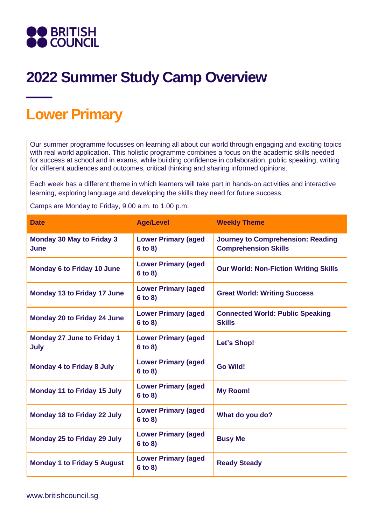

## **2022 Summer Study Camp Overview**

## **Lower Primary**

Our summer programme focusses on learning all about our world through engaging and exciting topics with real world application. This holistic programme combines a focus on the academic skills needed for success at school and in exams, while building confidence in collaboration, public speaking, writing for different audiences and outcomes, critical thinking and sharing informed opinions.

Each week has a different theme in which learners will take part in hands-on activities and interactive learning, exploring language and developing the skills they need for future success.

Camps are Monday to Friday, 9.00 a.m. to 1.00 p.m.

| <b>Date</b>                                     | <b>Age/Level</b>                      | <b>Weekly Theme</b>                                                     |
|-------------------------------------------------|---------------------------------------|-------------------------------------------------------------------------|
| <b>Monday 30 May to Friday 3</b><br><b>June</b> | <b>Lower Primary (aged</b><br>6 to 8) | <b>Journey to Comprehension: Reading</b><br><b>Comprehension Skills</b> |
| <b>Monday 6 to Friday 10 June</b>               | <b>Lower Primary (aged</b><br>6 to 8) | <b>Our World: Non-Fiction Writing Skills</b>                            |
| <b>Monday 13 to Friday 17 June</b>              | <b>Lower Primary (aged</b><br>6 to 8) | <b>Great World: Writing Success</b>                                     |
| <b>Monday 20 to Friday 24 June</b>              | <b>Lower Primary (aged</b><br>6 to 8) | <b>Connected World: Public Speaking</b><br><b>Skills</b>                |
| <b>Monday 27 June to Friday 1</b><br>July       | <b>Lower Primary (aged</b><br>6 to 8) | Let's Shop!                                                             |
| <b>Monday 4 to Friday 8 July</b>                | <b>Lower Primary (aged</b><br>6 to 8) | <b>Go Wild!</b>                                                         |
| <b>Monday 11 to Friday 15 July</b>              | <b>Lower Primary (aged</b><br>6 to 8) | <b>My Room!</b>                                                         |
| <b>Monday 18 to Friday 22 July</b>              | <b>Lower Primary (aged</b><br>6 to 8) | What do you do?                                                         |
| <b>Monday 25 to Friday 29 July</b>              | <b>Lower Primary (aged</b><br>6 to 8) | <b>Busy Me</b>                                                          |
| <b>Monday 1 to Friday 5 August</b>              | <b>Lower Primary (aged</b><br>6 to 8) | <b>Ready Steady</b>                                                     |